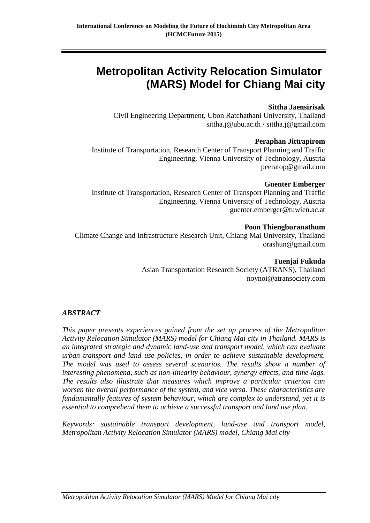# **Metropolitan Activity Relocation Simulator (MARS) Model for Chiang Mai city**

### **Sittha Jaensirisak**

Civil Engineering Department, Ubon Ratchathani University, Thailand sittha.j@ubu.ac.th / sittha.j@gmail.com

#### **Peraphan Jittrapirom**

Institute of Transportation, Research Center of Transport Planning and Traffic Engineering, Vienna University of Technology, Austria peeratop@gmail.com

#### **Guenter Emberger**

Institute of Transportation, Research Center of Transport Planning and Traffic Engineering, Vienna University of Technology, Austria guenter.emberger@tuwien.ac.at

#### **Poon Thiengburanathum**

Climate Change and Infrastructure Research Unit, Chiang Mai University, Thailand orashun@gmail.com

**Tuenjai Fukuda**

Asian Transportation Research Society (ATRANS), Thailand noynoi@atransociety.com

### *ABSTRACT*

*This paper presents experiences gained from the set up process of the Metropolitan Activity Relocation Simulator (MARS) model for Chiang Mai city in Thailand. MARS is an integrated strategic and dynamic land-use and transport model, which can evaluate urban transport and land use policies, in order to achieve sustainable development. The model was used to assess several scenarios. The results show a number of interesting phenomena, such as non-linearity behaviour, synergy effects, and time-lags. The results also illustrate that measures which improve a particular criterion can worsen the overall performance of the system, and vice versa. These characteristics are fundamentally features of system behaviour, which are complex to understand, yet it is essential to comprehend them to achieve a successful transport and land use plan.* 

*Keywords: sustainable transport development, land-use and transport model, Metropolitan Activity Relocation Simulator (MARS) model, Chiang Mai city*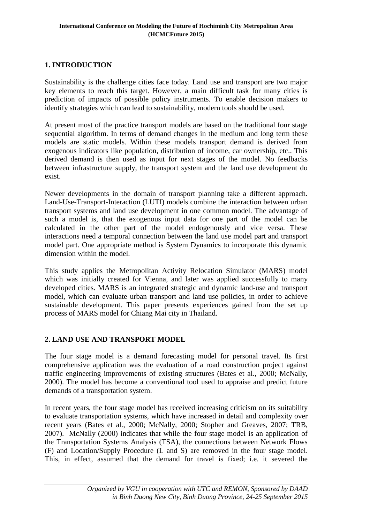## **1. INTRODUCTION**

Sustainability is the challenge cities face today. Land use and transport are two major key elements to reach this target. However, a main difficult task for many cities is prediction of impacts of possible policy instruments. To enable decision makers to identify strategies which can lead to sustainability, modern tools should be used.

At present most of the practice transport models are based on the traditional four stage sequential algorithm. In terms of demand changes in the medium and long term these models are static models. Within these models transport demand is derived from exogenous indicators like population, distribution of income, car ownership, etc.. This derived demand is then used as input for next stages of the model. No feedbacks between infrastructure supply, the transport system and the land use development do exist.

Newer developments in the domain of transport planning take a different approach. Land-Use-Transport-Interaction (LUTI) models combine the interaction between urban transport systems and land use development in one common model. The advantage of such a model is, that the exogenous input data for one part of the model can be calculated in the other part of the model endogenously and vice versa. These interactions need a temporal connection between the land use model part and transport model part. One appropriate method is System Dynamics to incorporate this dynamic dimension within the model.

This study applies the Metropolitan Activity Relocation Simulator (MARS) model which was initially created for Vienna, and later was applied successfully to many developed cities. MARS is an integrated strategic and dynamic land-use and transport model, which can evaluate urban transport and land use policies, in order to achieve sustainable development. This paper presents experiences gained from the set up process of MARS model for Chiang Mai city in Thailand.

### **2. LAND USE AND TRANSPORT MODEL**

The four stage model is a demand forecasting model for personal travel. Its first comprehensive application was the evaluation of a road construction project against traffic engineering improvements of existing structures (Bates et al., 2000; McNally, 2000). The model has become a conventional tool used to appraise and predict future demands of a transportation system.

In recent years, the four stage model has received increasing criticism on its suitability to evaluate transportation systems, which have increased in detail and complexity over recent years (Bates et al., 2000; McNally, 2000; Stopher and Greaves, 2007; TRB, 2007). McNally (2000) indicates that while the four stage model is an application of the Transportation Systems Analysis (TSA), the connections between Network Flows (F) and Location/Supply Procedure (L and S) are removed in the four stage model. This, in effect, assumed that the demand for travel is fixed; i.e. it severed the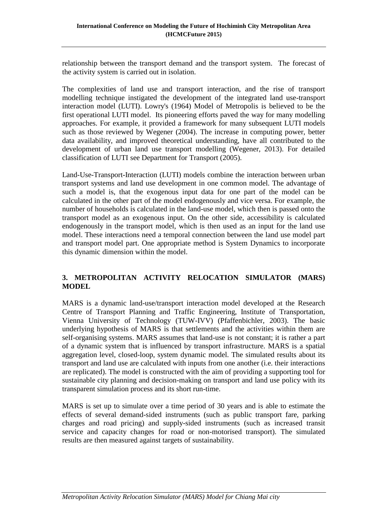relationship between the transport demand and the transport system. The forecast of the activity system is carried out in isolation.

The complexities of land use and transport interaction, and the rise of transport modelling technique instigated the development of the integrated land use-transport interaction model (LUTI). Lowry's (1964) Model of Metropolis is believed to be the first operational LUTI model. Its pioneering efforts paved the way for many modelling approaches. For example, it provided a framework for many subsequent LUTI models such as those reviewed by Wegener (2004). The increase in computing power, better data availability, and improved theoretical understanding, have all contributed to the development of urban land use transport modelling (Wegener, 2013). For detailed classification of LUTI see Department for Transport (2005).

Land-Use-Transport-Interaction (LUTI) models combine the interaction between urban transport systems and land use development in one common model. The advantage of such a model is, that the exogenous input data for one part of the model can be calculated in the other part of the model endogenously and vice versa. For example, the number of households is calculated in the land-use model, which then is passed onto the transport model as an exogenous input. On the other side, accessibility is calculated endogenously in the transport model, which is then used as an input for the land use model. These interactions need a temporal connection between the land use model part and transport model part. One appropriate method is System Dynamics to incorporate this dynamic dimension within the model.

# **3. METROPOLITAN ACTIVITY RELOCATION SIMULATOR (MARS) MODEL**

MARS is a dynamic land-use/transport interaction model developed at the Research Centre of Transport Planning and Traffic Engineering, Institute of Transportation, Vienna University of Technology (TUW-IVV) (Pfaffenbichler, 2003). The basic underlying hypothesis of MARS is that settlements and the activities within them are self-organising systems. MARS assumes that land-use is not constant; it is rather a part of a dynamic system that is influenced by transport infrastructure. MARS is a spatial aggregation level, closed-loop, system dynamic model. The simulated results about its transport and land use are calculated with inputs from one another (i.e. their interactions are replicated). The model is constructed with the aim of providing a supporting tool for sustainable city planning and decision-making on transport and land use policy with its transparent simulation process and its short run-time.

MARS is set up to simulate over a time period of 30 years and is able to estimate the effects of several demand-sided instruments (such as public transport fare, parking charges and road pricing) and supply-sided instruments (such as increased transit service and capacity changes for road or non-motorised transport). The simulated results are then measured against targets of sustainability.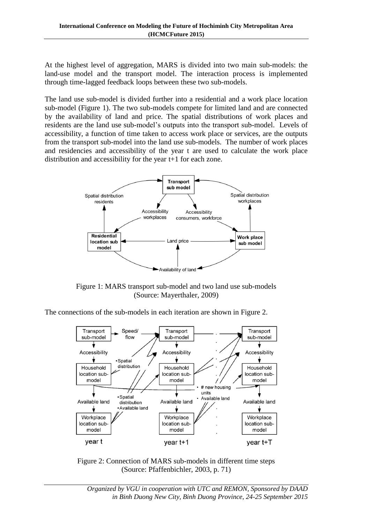At the highest level of aggregation, MARS is divided into two main sub-models: the land-use model and the transport model. The interaction process is implemented through time-lagged feedback loops between these two sub-models.

The land use sub-model is divided further into a residential and a work place location sub-model (Figure 1). The two sub-models compete for limited land and are connected by the availability of land and price. The spatial distributions of work places and residents are the land use sub-model's outputs into the transport sub-model. Levels of accessibility, a function of time taken to access work place or services, are the outputs from the transport sub-model into the land use sub-models. The number of work places and residencies and accessibility of the year t are used to calculate the work place distribution and accessibility for the year t+1 for each zone.



Figure 1: MARS transport sub-model and two land use sub-models (Source: Mayerthaler, 2009)

The connections of the sub-models in each iteration are shown in Figure 2.



Figure 2: Connection of MARS sub-models in different time steps (Source: Pfaffenbichler, 2003, p. 71)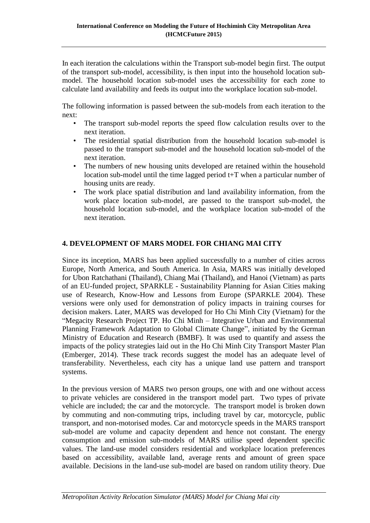In each iteration the calculations within the Transport sub-model begin first. The output of the transport sub-model, accessibility, is then input into the household location submodel. The household location sub-model uses the accessibility for each zone to calculate land availability and feeds its output into the workplace location sub-model.

The following information is passed between the sub-models from each iteration to the next:

- The transport sub-model reports the speed flow calculation results over to the next iteration.
- The residential spatial distribution from the household location sub-model is passed to the transport sub-model and the household location sub-model of the next iteration.
- The numbers of new housing units developed are retained within the household location sub-model until the time lagged period t+T when a particular number of housing units are ready.
- The work place spatial distribution and land availability information, from the work place location sub-model, are passed to the transport sub-model, the household location sub-model, and the workplace location sub-model of the next iteration.

# **4. DEVELOPMENT OF MARS MODEL FOR CHIANG MAI CITY**

Since its inception, MARS has been applied successfully to a number of cities across Europe, North America, and South America. In Asia, MARS was initially developed for Ubon Ratchathani (Thailand), Chiang Mai (Thailand), and Hanoi (Vietnam) as parts of an EU-funded project, SPARKLE - Sustainability Planning for Asian Cities making use of Research, Know-How and Lessons from Europe (SPARKLE 2004). These versions were only used for demonstration of policy impacts in training courses for decision makers. Later, MARS was developed for Ho Chi Minh City (Vietnam) for the "Megacity Research Project TP. Ho Chi Minh – Integrative Urban and Environmental Planning Framework Adaptation to Global Climate Change", initiated by the German Ministry of Education and Research (BMBF). It was used to quantify and assess the impacts of the policy strategies laid out in the Ho Chi Minh City Transport Master Plan (Emberger, 2014). These track records suggest the model has an adequate level of transferability. Nevertheless, each city has a unique land use pattern and transport systems.

In the previous version of MARS two person groups, one with and one without access to private vehicles are considered in the transport model part. Two types of private vehicle are included; the car and the motorcycle. The transport model is broken down by commuting and non-commuting trips, including travel by car, motorcycle, public transport, and non-motorised modes. Car and motorcycle speeds in the MARS transport sub-model are volume and capacity dependent and hence not constant. The energy consumption and emission sub-models of MARS utilise speed dependent specific values. The land-use model considers residential and workplace location preferences based on accessibility, available land, average rents and amount of green space available. Decisions in the land-use sub-model are based on random utility theory. Due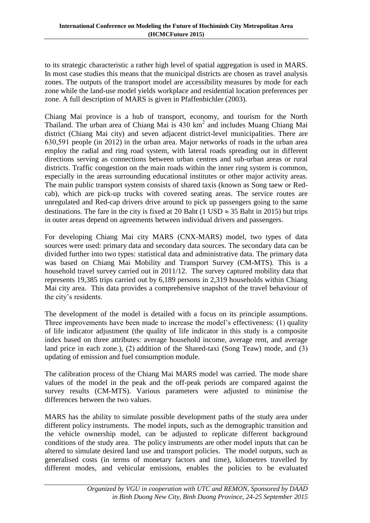to its strategic characteristic a rather high level of spatial aggregation is used in MARS. In most case studies this means that the municipal districts are chosen as travel analysis zones. The outputs of the transport model are accessibility measures by mode for each zone while the land-use model yields workplace and residential location preferences per zone. A full description of MARS is given in Pfaffenbichler (2003).

Chiang Mai province is a hub of transport, economy, and tourism for the North Thailand. The urban area of Chiang Mai is 430 km<sup>2</sup> and includes Muang Chiang Mai district (Chiang Mai city) and seven adjacent district-level municipalities. There are 630,591 people (in 2012) in the urban area. Major networks of roads in the urban area employ the radial and ring road system, with lateral roads spreading out in different directions serving as connections between urban centres and sub-urban areas or rural districts. Traffic congestion on the main roads within the inner ring system is common, especially in the areas surrounding educational institutes or other major activity areas. The main public transport system consists of shared taxis (known as Song taew or Redcab), which are pick-up trucks with covered seating areas. The service routes are unregulated and Red-cap drivers drive around to pick up passengers going to the same destinations. The fare in the city is fixed at 20 Baht (1 USD  $\approx$  35 Baht in 2015) but trips in outer areas depend on agreements between individual drivers and passengers.

For developing Chiang Mai city MARS (CNX-MARS) model, two types of data sources were used: primary data and secondary data sources. The secondary data can be divided further into two types: statistical data and administrative data. The primary data was based on Chiang Mai Mobility and Transport Survey (CM-MTS). This is a household travel survey carried out in 2011/12. The survey captured mobility data that represents 19,385 trips carried out by 6,189 persons in 2,319 households within Chiang Mai city area. This data provides a comprehensive snapshot of the travel behaviour of the city's residents.

The development of the model is detailed with a focus on its principle assumptions. Three improvements have been made to increase the model's effectiveness: (1) quality of life indicator adjustment (the quality of life indicator in this study is a composite index based on three attributes: average household income, average rent, and average land price in each zone.), (2) addition of the Shared-taxi (Song Teaw) mode, and (3) updating of emission and fuel consumption module.

The calibration process of the Chiang Mai MARS model was carried. The mode share values of the model in the peak and the off-peak periods are compared against the survey results (CM-MTS). Various parameters were adjusted to minimise the differences between the two values.

MARS has the ability to simulate possible development paths of the study area under different policy instruments. The model inputs, such as the demographic transition and the vehicle ownership model, can be adjusted to replicate different background conditions of the study area. The policy instruments are other model inputs that can be altered to simulate desired land use and transport policies. The model outputs, such as generalised costs (in terms of monetary factors and time), kilometres travelled by different modes, and vehicular emissions, enables the policies to be evaluated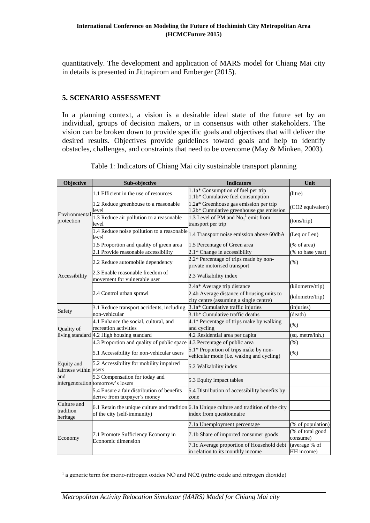quantitatively. The development and application of MARS model for Chiang Mai city in details is presented in Jittrapirom and Emberger (2015).

## **5. SCENARIO ASSESSMENT**

In a planning context, a vision is a desirable ideal state of the future set by an individual, groups of decision makers, or in consensus with other stakeholders. The vision can be broken down to provide specific goals and objectives that will deliver the desired results. Objectives provide guidelines toward goals and help to identify obstacles, challenges, and constraints that need to be overcome (May & Minken, 2003).

| Objective                                  | Sub-objective                                                              | <b>Indicators</b>                                                                                                       | Unit                         |
|--------------------------------------------|----------------------------------------------------------------------------|-------------------------------------------------------------------------------------------------------------------------|------------------------------|
| Environmental<br>protection                | 1.1 Efficient in the use of resources                                      | 1.1a* Consumption of fuel per trip<br>1.1b* Cumulative fuel consumption                                                 | (litre)                      |
|                                            | 1.2 Reduce greenhouse to a reasonable<br>level                             | 1.2a* Greenhouse gas emission per trip<br>1.2b* Cumulative greenhouse gas emission                                      | (CO2 equivalent)             |
|                                            | $1.3$ Reduce air pollution to a reasonable<br>level                        | 1.3 Level of PM and $No_x^1$ emit from<br>transport per trip                                                            | (tons/trip)                  |
|                                            | 1.4 Reduce noise pollution to a reasonable<br>level                        | 1.4 Transport noise emission above 60dbA                                                                                | (Leq or Leu)                 |
|                                            | 1.5 Proportion and quality of green area                                   | 1.5 Percentage of Green area                                                                                            | (% of area)                  |
|                                            | 2.1 Provide reasonable accessibility                                       | 2.1* Change in accessibility                                                                                            | (% to base year)             |
| Accessibility                              | 2.2 Reduce automobile dependency                                           | 2.2* Percentage of trips made by non-<br>private motorised transport                                                    | (% )                         |
|                                            | 2.3 Enable reasonable freedom of<br>movement for vulnerable user           | 2.3 Walkability index                                                                                                   |                              |
|                                            |                                                                            | 2.4a* Average trip distance                                                                                             | (kilometre/trip)             |
|                                            | 2.4 Control urban sprawl                                                   | 2.4b Average distance of housing units to<br>city centre (assuming a single centre)                                     | (kilometre/trip)             |
|                                            | 3.1 Reduce transport accidents, including                                  | 3.1a* Cumulative traffic injuries                                                                                       | (injuries)                   |
| Safety                                     | non-vehicular                                                              | 3.1b* Cumulative traffic deaths                                                                                         | (death)                      |
| Quality of                                 | 4.1 Enhance the social, cultural, and<br>recreation activities             | 4.1* Percentage of trips make by walking<br>and cycling                                                                 | $(\% )$                      |
|                                            | living standard 4.2 High housing standard                                  | 4.2 Residential area per capita                                                                                         | (sq. metre/inh.)             |
|                                            | 4.3 Proportion and quality of public space 4.3 Percentage of public area   |                                                                                                                         | $(\% )$                      |
| Equity and<br>fairness within users<br>and | 5.1 Accessibility for non-vehicular users                                  | 5.1* Proportion of trips make by non-<br>vehicular mode (i.e. waking and cycling)                                       | (% )                         |
|                                            | 5.2 Accessibility for mobility impaired                                    | 5.2 Walkability index                                                                                                   |                              |
|                                            | 5.3 Compensation for today and<br>intergeneration tomorrow's losers        | 5.3 Equity impact tables                                                                                                |                              |
|                                            | 5.4 Ensure a fair distribution of benefits<br>derive from taxpayer's money | 5.4 Distribution of accessibility benefits by<br>zone                                                                   |                              |
| Culture and<br>tradition<br>heritage       | of the city (self-immunity)                                                | 6.1 Retain the unique culture and tradition $6.1a$ Unique culture and tradition of the city<br>index from questionnaire |                              |
| Economy                                    | 7.1 Promote Sufficiency Economy in<br>Economic dimension                   | 7.1a Unemployment percentage                                                                                            | (% of population)            |
|                                            |                                                                            | 7.1b Share of imported consumer goods                                                                                   | (% of total good<br>consume) |
|                                            |                                                                            | 7.1c Average proportion of Household debt<br>in relation to its monthly income                                          | (average % of<br>HH income)  |

Table 1: Indicators of Chiang Mai city sustainable transport planning

-

<sup>&</sup>lt;sup>1</sup> a generic term for mono-nitrogen oxides NO and NO2 (nitric oxide and nitrogen dioxide)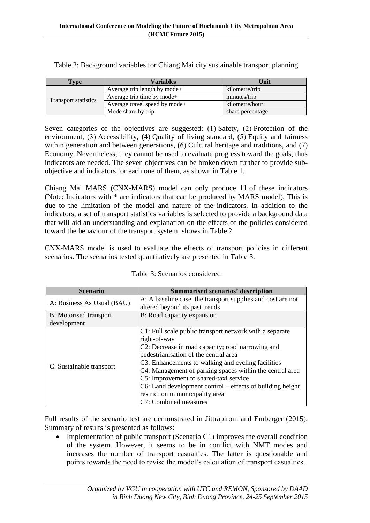| Type                        | Variables                     | Unit             |
|-----------------------------|-------------------------------|------------------|
|                             | Average trip length by mode+  | kilometre/trip   |
|                             | Average trip time by mode+    | minutes/trip     |
| <b>Transport statistics</b> | Average travel speed by mode+ | kilometre/hour   |
|                             | Mode share by trip            | share percentage |

Table 2: Background variables for Chiang Mai city sustainable transport planning

Seven categories of the objectives are suggested: (1) Safety, (2) Protection of the environment, (3) Accessibility, (4) Quality of living standard, (5) Equity and fairness within generation and between generations, (6) Cultural heritage and traditions, and (7) Economy. Nevertheless, they cannot be used to evaluate progress toward the goals, thus indicators are needed. The seven objectives can be broken down further to provide subobjective and indicators for each one of them, as shown in Table 1.

Chiang Mai MARS (CNX-MARS) model can only produce 11 of these indicators (Note: Indicators with \* are indicators that can be produced by MARS model). This is due to the limitation of the model and nature of the indicators. In addition to the indicators, a set of transport statistics variables is selected to provide a background data that will aid an understanding and explanation on the effects of the policies considered toward the behaviour of the transport system, shows in Table 2.

CNX-MARS model is used to evaluate the effects of transport policies in different scenarios. The scenarios tested quantitatively are presented in Table 3.

| <b>Scenario</b>            | <b>Summarised scenarios' description</b>                     |  |
|----------------------------|--------------------------------------------------------------|--|
| A: Business As Usual (BAU) | A: A baseline case, the transport supplies and cost are not  |  |
|                            | altered beyond its past trends                               |  |
| B: Motorised transport     | B: Road capacity expansion                                   |  |
| development                |                                                              |  |
|                            | C1: Full scale public transport network with a separate      |  |
|                            | right-of-way                                                 |  |
|                            | C2: Decrease in road capacity; road narrowing and            |  |
|                            | pedestrianisation of the central area                        |  |
| C: Sustainable transport   | C3: Enhancements to walking and cycling facilities           |  |
|                            | C4: Management of parking spaces within the central area     |  |
|                            | C5: Improvement to shared-taxi service                       |  |
|                            | $C6$ : Land development control – effects of building height |  |
|                            | restriction in municipality area                             |  |
|                            | C7: Combined measures                                        |  |

|  | Table 3: Scenarios considered |
|--|-------------------------------|
|  |                               |

Full results of the scenario test are demonstrated in Jittrapirom and Emberger (2015). Summary of results is presented as follows:

• Implementation of public transport (Scenario C1) improves the overall condition of the system. However, it seems to be in conflict with NMT modes and increases the number of transport casualties. The latter is questionable and points towards the need to revise the model's calculation of transport casualties.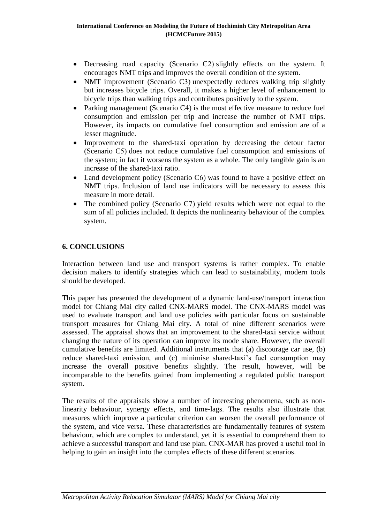- Decreasing road capacity (Scenario C2) slightly effects on the system. It encourages NMT trips and improves the overall condition of the system.
- NMT improvement (Scenario C3) unexpectedly reduces walking trip slightly but increases bicycle trips. Overall, it makes a higher level of enhancement to bicycle trips than walking trips and contributes positively to the system.
- Parking management (Scenario C4) is the most effective measure to reduce fuel consumption and emission per trip and increase the number of NMT trips. However, its impacts on cumulative fuel consumption and emission are of a lesser magnitude.
- Improvement to the shared-taxi operation by decreasing the detour factor (Scenario C5) does not reduce cumulative fuel consumption and emissions of the system; in fact it worsens the system as a whole. The only tangible gain is an increase of the shared-taxi ratio.
- Land development policy (Scenario C6) was found to have a positive effect on NMT trips. Inclusion of land use indicators will be necessary to assess this measure in more detail.
- The combined policy (Scenario C7) yield results which were not equal to the sum of all policies included. It depicts the nonlinearity behaviour of the complex system.

# **6. CONCLUSIONS**

Interaction between land use and transport systems is rather complex. To enable decision makers to identify strategies which can lead to sustainability, modern tools should be developed.

This paper has presented the development of a dynamic land-use/transport interaction model for Chiang Mai city called CNX-MARS model. The CNX-MARS model was used to evaluate transport and land use policies with particular focus on sustainable transport measures for Chiang Mai city. A total of nine different scenarios were assessed. The appraisal shows that an improvement to the shared-taxi service without changing the nature of its operation can improve its mode share. However, the overall cumulative benefits are limited. Additional instruments that (a) discourage car use, (b) reduce shared-taxi emission, and (c) minimise shared-taxi's fuel consumption may increase the overall positive benefits slightly. The result, however, will be incomparable to the benefits gained from implementing a regulated public transport system.

The results of the appraisals show a number of interesting phenomena, such as nonlinearity behaviour, synergy effects, and time-lags. The results also illustrate that measures which improve a particular criterion can worsen the overall performance of the system, and vice versa. These characteristics are fundamentally features of system behaviour, which are complex to understand, yet it is essential to comprehend them to achieve a successful transport and land use plan. CNX-MAR has proved a useful tool in helping to gain an insight into the complex effects of these different scenarios.